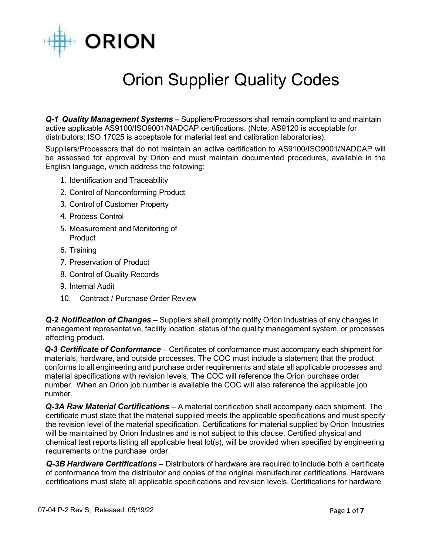

## Orion Supplier Quality Codes

*Q-1 Quality Management Systems* **–** Suppliers/Processors shall remain compliant to and maintain active applicable AS9100/ISO9001/NADCAP certifications. (Note: AS9120 is acceptable for distributors; ISO 17025 is acceptable for material test and calibration laboratories).

Suppliers/Processors that do not maintain an active certification to AS9100/ISO9001/NADCAP will be assessed for approval by Orion and must maintain documented procedures, available in the English language, which address the following:

- 1. Identification and Traceability
- 2. Control of Nonconforming Product
- 3. Control of Customer Property
- 4. Process Control
- 5. Measurement and Monitoring of **Product**
- 6. Training
- 7. Preservation of Product
- 8. Control of Quality Records
- 9. Internal Audit
- 10. Contract / Purchase Order Review

*Q-2 Notification of Changes* **–** Suppliers shall promptly notify Orion Industries of any changes in management representative, facility location, status of the quality management system, or processes affecting product.

*Q-3 Certificate of Conformance* – Certificates of conformance must accompany each shipment for materials, hardware, and outside processes. The COC must include a statement that the product conforms to all engineering and purchase order requirements and state all applicable processes and material specifications with revision levels. The COC will reference the Orion purchase order number. When an Orion job number is available the COC will also reference the applicable job number.

*Q-3A Raw Material Certifications* – A material certification shall accompany each shipment. The certificate must state that the material supplied meets the applicable specifications and must specify the revision level of the material specification. Certifications for material supplied by Orion Industries will be maintained by Orion Industries and is not subject to this clause. Certified physical and chemical test reports listing all applicable heat lot(s), will be provided when specified by engineering requirements or the purchase order.

*Q-3B Hardware Certifications –* Distributors of hardware are required to include both a certificate of conformance from the distributor and copies of the original manufacturer certifications. Hardware certifications must state all applicable specifications and revision levels. Certifications for hardware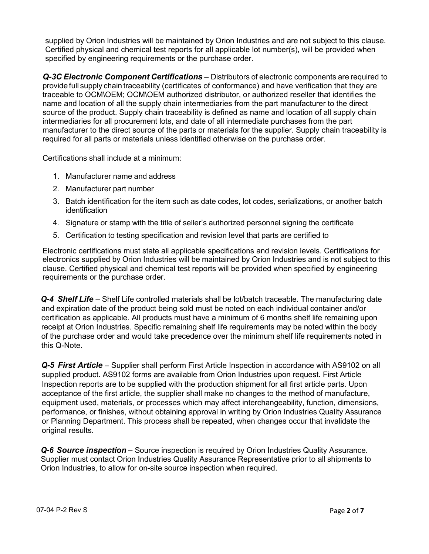supplied by Orion Industries will be maintained by Orion Industries and are not subject to this clause. Certified physical and chemical test reports for all applicable lot number(s), will be provided when specified by engineering requirements or the purchase order.

*Q-3C Electronic Component Certifications –* Distributors of electronic components are required to provide full supply chain traceability (certificates of conformance) and have verification that they are traceable to OCM\OEM; OCM\OEM authorized distributor, or authorized reseller that identifies the name and location of all the supply chain intermediaries from the part manufacturer to the direct source of the product. Supply chain traceability is defined as name and location of all supply chain intermediaries for all procurement lots, and date of all intermediate purchases from the part manufacturer to the direct source of the parts or materials for the supplier. Supply chain traceability is required for all parts or materials unless identified otherwise on the purchase order.

Certifications shall include at a minimum:

- 1. Manufacturer name and address
- 2. Manufacturer part number
- 3. Batch identification for the item such as date codes, lot codes, serializations, or another batch identification
- 4. Signature or stamp with the title of seller's authorized personnel signing the certificate
- 5. Certification to testing specification and revision level that parts are certified to

Electronic certifications must state all applicable specifications and revision levels. Certifications for electronics supplied by Orion Industries will be maintained by Orion Industries and is not subject to this clause. Certified physical and chemical test reports will be provided when specified by engineering requirements or the purchase order.

*Q-4 Shelf Life* – Shelf Life controlled materials shall be lot/batch traceable. The manufacturing date and expiration date of the product being sold must be noted on each individual container and/or certification as applicable. All products must have a minimum of 6 months shelf life remaining upon receipt at Orion Industries. Specific remaining shelf life requirements may be noted within the body of the purchase order and would take precedence over the minimum shelf life requirements noted in this Q-Note.

*Q-5 First Article* – Supplier shall perform First Article Inspection in accordance with AS9102 on all supplied product. AS9102 forms are available from Orion Industries upon request. First Article Inspection reports are to be supplied with the production shipment for all first article parts. Upon acceptance of the first article, the supplier shall make no changes to the method of manufacture, equipment used, materials, or processes which may affect interchangeability, function, dimensions, performance, or finishes, without obtaining approval in writing by Orion Industries Quality Assurance or Planning Department. This process shall be repeated, when changes occur that invalidate the original results.

*Q-6 Source inspection –* Source inspection is required by Orion Industries Quality Assurance. Supplier must contact Orion Industries Quality Assurance Representative prior to all shipments to Orion Industries, to allow for on-site source inspection when required.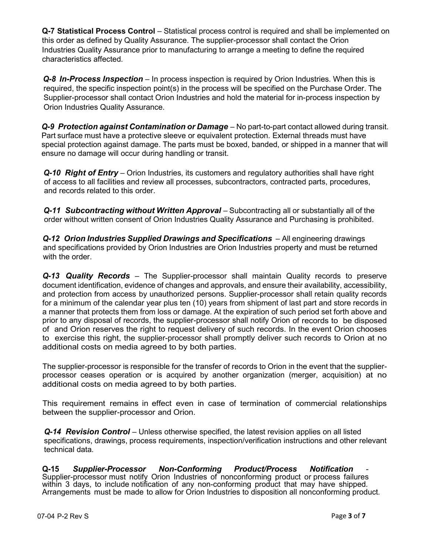**Q-7 Statistical Process Control** – Statistical process control is required and shall be implemented on this order as defined by Quality Assurance. The supplier-processor shall contact the Orion Industries Quality Assurance prior to manufacturing to arrange a meeting to define the required characteristics affected.

*Q-8* In-Process Inspection – In process inspection is required by Orion Industries. When this is required, the specific inspection point(s) in the process will be specified on the Purchase Order. The Supplier-processor shall contact Orion Industries and hold the material for in-process inspection by Orion Industries Quality Assurance.

*Q-9 Protection against Contamination or Damage* – No part-to-part contact allowed during transit. Part surface must have a protective sleeve or equivalent protection. External threads must have special protection against damage. The parts must be boxed, banded, or shipped in a manner that will ensure no damage will occur during handling or transit.

*Q-10 Right of Entry* – Orion Industries, its customers and regulatory authorities shall have right of access to all facilities and review all processes, subcontractors, contracted parts, procedures, and records related to this order.

*Q-11 Subcontracting without Written Approval – Subcontracting all or substantially all of the* order without written consent of Orion Industries Quality Assurance and Purchasing is prohibited.

*Q-12 Orion Industries Supplied Drawings and Specifications* – All engineering drawings and specifications provided by Orion Industries are Orion Industries property and must be returned with the order.

*Q-13 Quality Records* – The Supplier-processor shall maintain Quality records to preserve document identification, evidence of changes and approvals, and ensure their availability, accessibility, and protection from access by unauthorized persons. Supplier-processor shall retain quality records for a minimum of the calendar year plus ten (10) years from shipment of last part and store records in a manner that protects them from loss or damage. At the expiration of such period set forth above and prior to any disposal of records, the supplier-processor shall notify Orion of records to be disposed of and Orion reserves the right to request delivery of such records. In the event Orion chooses to exercise this right, the supplier-processor shall promptly deliver such records to Orion at no additional costs on media agreed to by both parties.

The supplier-processor is responsible for the transfer of records to Orion in the event that the supplierprocessor ceases operation or is acquired by another organization (merger, acquisition) at no additional costs on media agreed to by both parties.

This requirement remains in effect even in case of termination of commercial relationships between the supplier-processor and Orion.

**Q-14 Revision Control** – Unless otherwise specified, the latest revision applies on all listed specifications, drawings, process requirements, inspection/verification instructions and other relevant technical data.

**Q-15** *Supplier-Processor Non-Conforming Product/Process Notification* - Supplier-processor must notify Orion Industries of nonconforming product or process failures within 3 days, to include notification of any non-conforming product that may have shipped. Arrangements must be made to allow for Orion Industries to disposition all nonconforming product.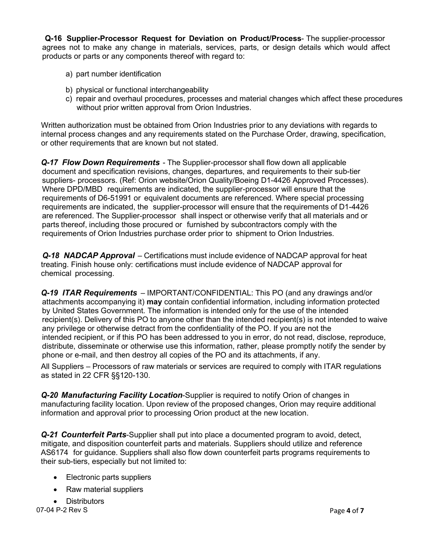**Q-16 Supplier-Processor Request for Deviation on Product/Process**- The supplier-processor agrees not to make any change in materials, services, parts, or design details which would affect products or parts or any components thereof with regard to:

- a) part number identification
- b) physical or functional interchangeability
- c) repair and overhaul procedures, processes and material changes which affect these procedures without prior written approval from Orion Industries.

Written authorization must be obtained from Orion Industries prior to any deviations with regards to internal process changes and any requirements stated on the Purchase Order, drawing, specification, or other requirements that are known but not stated.

*Q-17 Flow Down Requirements* - The Supplier-processor shall flow down all applicable document and specification revisions, changes, departures, and requirements to their sub-tier suppliers- processors. (Ref: Orion website/Orion Quality/Boeing D1-4426 Approved Processes). Where DPD/MBD requirements are indicated, the supplier-processor will ensure that the requirements of D6-51991 or equivalent documents are referenced. Where special processing requirements are indicated, the supplier-processor will ensure that the requirements of D1-4426 are referenced. The Supplier-processor shall inspect or otherwise verify that all materials and or parts thereof, including those procured or furnished by subcontractors comply with the requirements of Orion Industries purchase order prior to shipment to Orion Industries.

*Q-18 NADCAP Approval* – Certifications must include evidence of NADCAP approval for heat treating. Finish house only: certifications must include evidence of NADCAP approval for chemical processing.

*Q-19 ITAR Requirements* – IMPORTANT/CONFIDENTIAL: This PO (and any drawings and/or attachments accompanying it) **may** contain confidential information, including information protected by United States Government. The information is intended only for the use of the intended recipient(s). Delivery of this PO to anyone other than the intended recipient(s) is not intended to waive any privilege or otherwise detract from the confidentiality of the PO. If you are not the intended recipient, or if this PO has been addressed to you in error, do not read, disclose, reproduce, distribute, disseminate or otherwise use this information, rather, please promptly notify the sender by phone or e-mail, and then destroy all copies of the PO and its attachments, if any.

All Suppliers – Processors of raw materials or services are required to comply with ITAR regulations as stated in 22 CFR §§120-130.

*Q-20 Manufacturing Facility Location*-Supplier is required to notify Orion of changes in manufacturing facility location. Upon review of the proposed changes, Orion may require additional information and approval prior to processing Orion product at the new location.

*Q-21 Counterfeit Parts*-Supplier shall put into place a documented program to avoid, detect, mitigate, and disposition counterfeit parts and materials. Suppliers should utilize and reference AS6174 for guidance. Suppliers shall also flow down counterfeit parts programs requirements to their sub-tiers, especially but not limited to:

- Electronic parts suppliers
- Raw material suppliers
- Distributors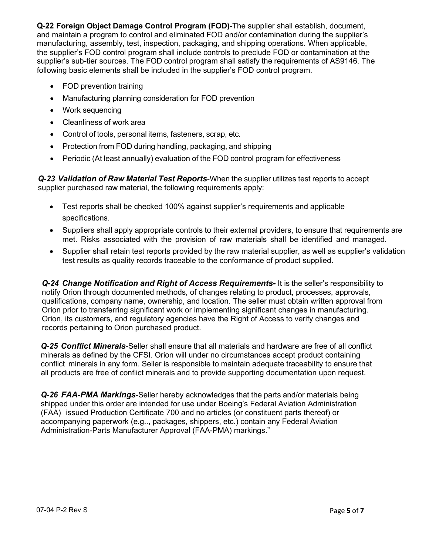**Q-22 Foreign Object Damage Control Program (FOD)-**The supplier shall establish, document, and maintain a program to control and eliminated FOD and/or contamination during the supplier's manufacturing, assembly, test, inspection, packaging, and shipping operations. When applicable, the supplier's FOD control program shall include controls to preclude FOD or contamination at the supplier's sub-tier sources. The FOD control program shall satisfy the requirements of AS9146. The following basic elements shall be included in the supplier's FOD control program.

- FOD prevention training
- Manufacturing planning consideration for FOD prevention
- Work sequencing
- Cleanliness of work area
- Control of tools, personal items, fasteners, scrap, etc.
- Protection from FOD during handling, packaging, and shipping
- Periodic (At least annually) evaluation of the FOD control program for effectiveness

*Q-23 Validation of Raw Material Test Reports*-When the supplier utilizes test reports to accept supplier purchased raw material, the following requirements apply:

- Test reports shall be checked 100% against supplier's requirements and applicable specifications.
- Suppliers shall apply appropriate controls to their external providers, to ensure that requirements are met. Risks associated with the provision of raw materials shall be identified and managed.
- Supplier shall retain test reports provided by the raw material supplier, as well as supplier's validation test results as quality records traceable to the conformance of product supplied.

*Q-24 Change Notification and Right of Access Requirements-* It is the seller's responsibility to notify Orion through documented methods, of changes relating to product, processes, approvals, qualifications, company name, ownership, and location. The seller must obtain written approval from Orion prior to transferring significant work or implementing significant changes in manufacturing. Orion, its customers, and regulatory agencies have the Right of Access to verify changes and records pertaining to Orion purchased product.

*Q-25 Conflict Minerals*-Seller shall ensure that all materials and hardware are free of all conflict minerals as defined by the CFSI. Orion will under no circumstances accept product containing conflict minerals in any form. Seller is responsible to maintain adequate traceability to ensure that all products are free of conflict minerals and to provide supporting documentation upon request.

*Q-26 FAA-PMA Markings*-Seller hereby acknowledges that the parts and/or materials being shipped under this order are intended for use under Boeing's Federal Aviation Administration (FAA) issued Production Certificate 700 and no articles (or constituent parts thereof) or accompanying paperwork (e.g.., packages, shippers, etc.) contain any Federal Aviation Administration-Parts Manufacturer Approval (FAA-PMA) markings."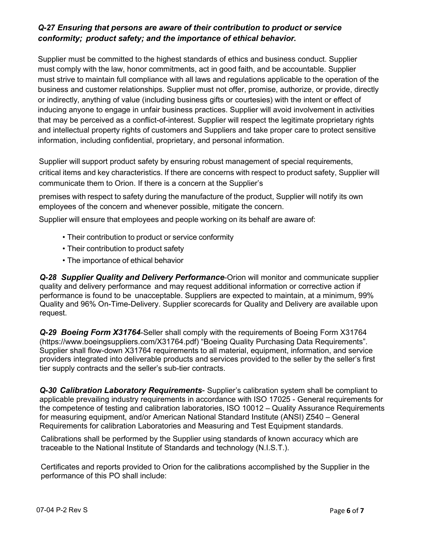## *Q-27 Ensuring that persons are aware of their contribution to product or service conformity; product safety; and the importance of ethical behavior.*

Supplier must be committed to the highest standards of ethics and business conduct. Supplier must comply with the law, honor commitments, act in good faith, and be accountable. Supplier must strive to maintain full compliance with all laws and regulations applicable to the operation of the business and customer relationships. Supplier must not offer, promise, authorize, or provide, directly or indirectly, anything of value (including business gifts or courtesies) with the intent or effect of inducing anyone to engage in unfair business practices. Supplier will avoid involvement in activities that may be perceived as a conflict-of-interest. Supplier will respect the legitimate proprietary rights and intellectual property rights of customers and Suppliers and take proper care to protect sensitive information, including confidential, proprietary, and personal information.

Supplier will support product safety by ensuring robust management of special requirements, critical items and key characteristics. If there are concerns with respect to product safety, Supplier will communicate them to Orion. If there is a concern at the Supplier's

premises with respect to safety during the manufacture of the product, Supplier will notify its own employees of the concern and whenever possible, mitigate the concern.

Supplier will ensure that employees and people working on its behalf are aware of:

- Their contribution to product or service conformity
- Their contribution to product safety
- The importance of ethical behavior

*Q-28 Supplier Quality and Delivery Performance*-Orion will monitor and communicate supplier quality and delivery performance and may request additional information or corrective action if performance is found to be unacceptable. Suppliers are expected to maintain, at a minimum, 99% Quality and 96% On-Time-Delivery. Supplier scorecards for Quality and Delivery are available upon request.

*Q-29 Boeing Form X31764*-Seller shall comply with the requirements of Boeing Form X31764 [\(https://www.boeingsuppliers.com/X31764.pdf\)](http://www.boeingsuppliers.com/X31764.pdf)) "Boeing Quality Purchasing Data Requirements". Supplier shall flow-down X31764 requirements to all material, equipment, information, and service providers integrated into deliverable products and services provided to the seller by the seller's first tier supply contracts and the seller's sub-tier contracts.

*Q-30 Calibration Laboratory Requirements*- Supplier's calibration system shall be compliant to applicable prevailing industry requirements in accordance with ISO 17025 - General requirements for the competence of testing and calibration laboratories, ISO 10012 – Quality Assurance Requirements for measuring equipment, and/or American National Standard Institute (ANSI) Z540 – General Requirements for calibration Laboratories and Measuring and Test Equipment standards.

Calibrations shall be performed by the Supplier using standards of known accuracy which are traceable to the National Institute of Standards and technology (N.I.S.T.).

Certificates and reports provided to Orion for the calibrations accomplished by the Supplier in the performance of this PO shall include: